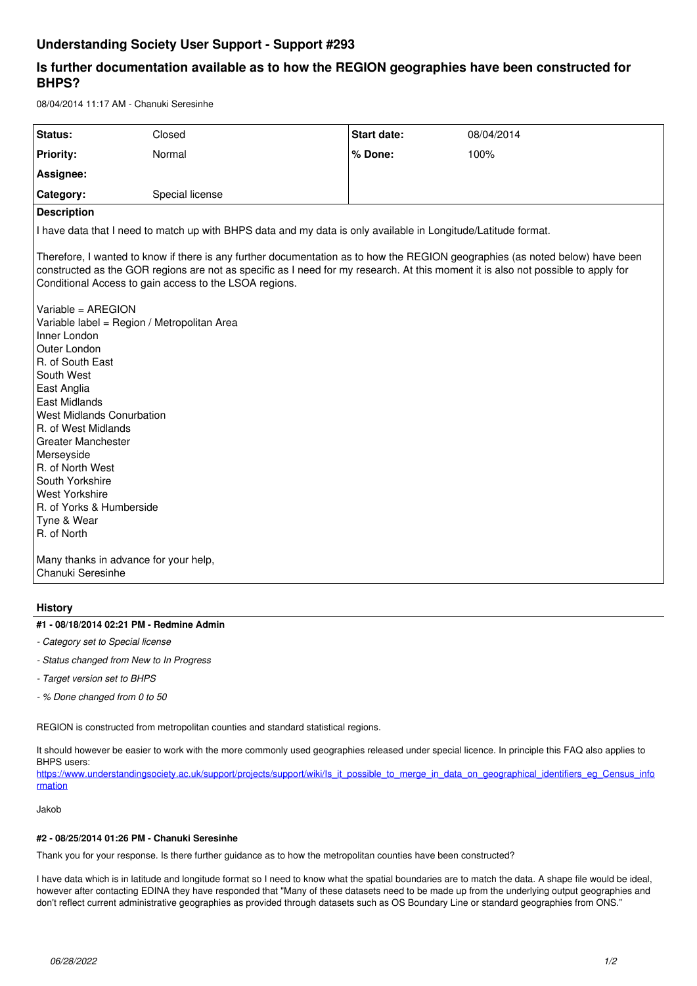# **Understanding Society User Support - Support #293**

# **Is further documentation available as to how the REGION geographies have been constructed for BHPS?**

08/04/2014 11:17 AM - Chanuki Seresinhe

| Status:                                                                                                                                                                                                                                                                                                                      | Closed          | Start date: | 08/04/2014 |
|------------------------------------------------------------------------------------------------------------------------------------------------------------------------------------------------------------------------------------------------------------------------------------------------------------------------------|-----------------|-------------|------------|
| <b>Priority:</b>                                                                                                                                                                                                                                                                                                             | Normal          | % Done:     | 100%       |
| Assignee:                                                                                                                                                                                                                                                                                                                    |                 |             |            |
| Category:                                                                                                                                                                                                                                                                                                                    | Special license |             |            |
| <b>Description</b>                                                                                                                                                                                                                                                                                                           |                 |             |            |
| I have data that I need to match up with BHPS data and my data is only available in Longitude/Latitude format.                                                                                                                                                                                                               |                 |             |            |
| Therefore, I wanted to know if there is any further documentation as to how the REGION geographies (as noted below) have been<br>constructed as the GOR regions are not as specific as I need for my research. At this moment it is also not possible to apply for<br>Conditional Access to gain access to the LSOA regions. |                 |             |            |
| Variable = AREGION<br>Variable label = Region / Metropolitan Area<br>Inner London<br>Outer London                                                                                                                                                                                                                            |                 |             |            |
| R. of South East<br>South West                                                                                                                                                                                                                                                                                               |                 |             |            |
| East Anglia                                                                                                                                                                                                                                                                                                                  |                 |             |            |
| <b>East Midlands</b><br>West Midlands Conurbation                                                                                                                                                                                                                                                                            |                 |             |            |
| R. of West Midlands                                                                                                                                                                                                                                                                                                          |                 |             |            |
| <b>Greater Manchester</b>                                                                                                                                                                                                                                                                                                    |                 |             |            |
| Merseyside<br>R. of North West                                                                                                                                                                                                                                                                                               |                 |             |            |
| South Yorkshire                                                                                                                                                                                                                                                                                                              |                 |             |            |
| <b>West Yorkshire</b>                                                                                                                                                                                                                                                                                                        |                 |             |            |
| R. of Yorks & Humberside                                                                                                                                                                                                                                                                                                     |                 |             |            |
| Tyne & Wear<br>R. of North                                                                                                                                                                                                                                                                                                   |                 |             |            |
|                                                                                                                                                                                                                                                                                                                              |                 |             |            |
| Many thanks in advance for your help,<br>Chanuki Seresinhe                                                                                                                                                                                                                                                                   |                 |             |            |
|                                                                                                                                                                                                                                                                                                                              |                 |             |            |

## **History**

#### **#1 - 08/18/2014 02:21 PM - Redmine Admin**

- *Category set to Special license*
- *Status changed from New to In Progress*
- *Target version set to BHPS*
- *% Done changed from 0 to 50*

REGION is constructed from metropolitan counties and standard statistical regions.

It should however be easier to work with the more commonly used geographies released under special licence. In principle this FAQ also applies to BHPS users:

[https://www.understandingsociety.ac.uk/support/projects/support/wiki/Is\\_it\\_possible\\_to\\_merge\\_in\\_data\\_on\\_geographical\\_identifiers\\_eg\\_Census\\_info](https://www.understandingsociety.ac.uk/support/projects/support/wiki/Is_it_possible_to_merge_in_data_on_geographical_identifiers_eg_Census_information) [rmation](https://www.understandingsociety.ac.uk/support/projects/support/wiki/Is_it_possible_to_merge_in_data_on_geographical_identifiers_eg_Census_information)

Jakob

#### **#2 - 08/25/2014 01:26 PM - Chanuki Seresinhe**

Thank you for your response. Is there further guidance as to how the metropolitan counties have been constructed?

I have data which is in latitude and longitude format so I need to know what the spatial boundaries are to match the data. A shape file would be ideal, however after contacting EDINA they have responded that "Many of these datasets need to be made up from the underlying output geographies and don't reflect current administrative geographies as provided through datasets such as OS Boundary Line or standard geographies from ONS."